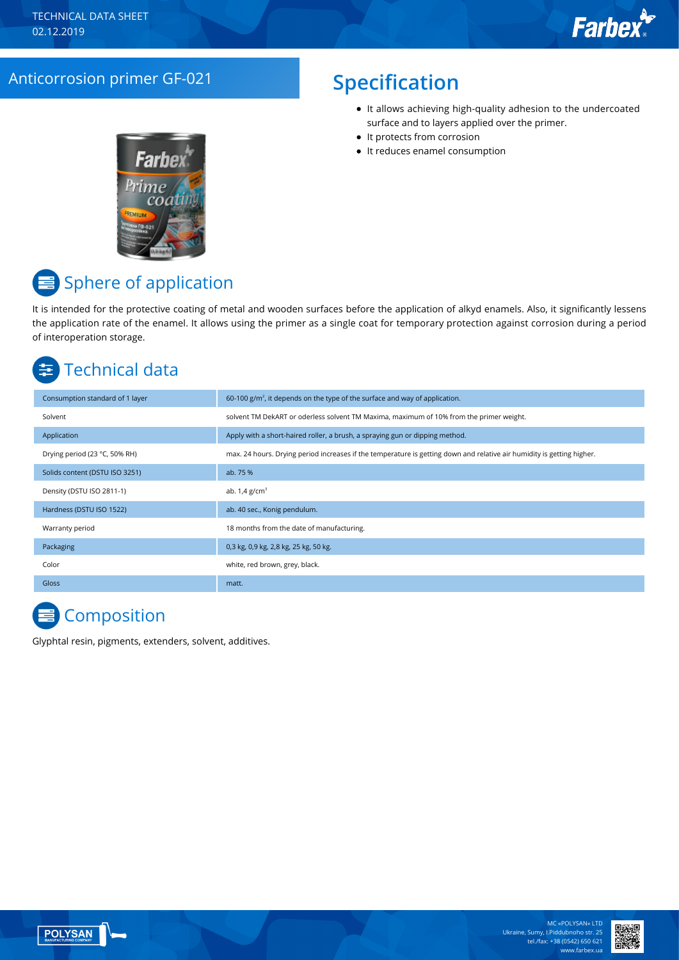## Anticorrosion primer GF-021 **Specification**

- It allows achieving high-quality adhesion to the undercoated surface and to layers applied over the primer.
- It protects from corrosion
- It reduces enamel consumption



## Sphere of application

It is intended for the protective coating of metal and wooden surfaces before the application of alkyd enamels. Also, it significantly lessens the application rate of the enamel. It allows using the primer as a single coat for temporary protection against corrosion during a period of interoperation storage.

# Technical data

| Consumption standard of 1 layer | 60-100 $g/m^2$ , it depends on the type of the surface and way of application.                                         |
|---------------------------------|------------------------------------------------------------------------------------------------------------------------|
| Solvent                         | solvent TM DekART or oderless solvent TM Maxima, maximum of 10% from the primer weight.                                |
| Application                     | Apply with a short-haired roller, a brush, a spraying gun or dipping method.                                           |
| Drying period (23 °C, 50% RH)   | max. 24 hours. Drying period increases if the temperature is getting down and relative air humidity is getting higher. |
| Solids content (DSTU ISO 3251)  | ab. 75 %                                                                                                               |
| Density (DSTU ISO 2811-1)       | ab. $1.4$ g/cm <sup>3</sup>                                                                                            |
| Hardness (DSTU ISO 1522)        | ab. 40 sec., Konig pendulum.                                                                                           |
| Warranty period                 | 18 months from the date of manufacturing.                                                                              |
| Packaging                       | 0,3 kg, 0,9 kg, 2,8 kg, 25 kg, 50 kg.                                                                                  |
| Color                           | white, red brown, grey, black.                                                                                         |
| <b>Gloss</b>                    | matt.                                                                                                                  |

# **Composition**

Glyphtal resin, pigments, extenders, solvent, additives.